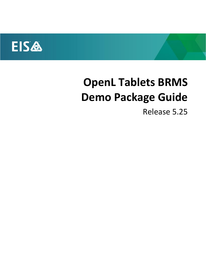

# **OpenL Tablets BRMS Demo Package Guide**

Release 5.25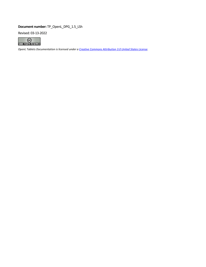#### **Document number:** TP\_OpenL\_DPG\_1.5\_LSh

Revised: 03-13-2022



*OpenL Tablets Documentation is licensed under [a Creative Commons Attribution 3.0](http://creativecommons.org/licenses/by/3.0/us/) United States License.*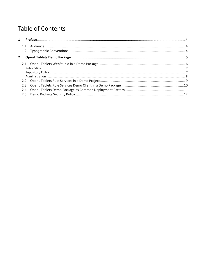## **Table of Contents**

| $\mathbf{2}$ |     |  |
|--------------|-----|--|
|              |     |  |
|              |     |  |
|              |     |  |
|              |     |  |
|              |     |  |
|              | 2.3 |  |
|              | 2.4 |  |
|              |     |  |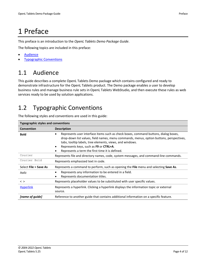# <span id="page-3-0"></span>1 Preface

This preface is an introduction to the *OpenL Tablets Demo Package Guide*.

The following topics are included in this preface:

- **[Audience](#page-3-1)**
- <span id="page-3-1"></span>**[Typographic Conventions](#page-3-2)**

### 1.1 Audience

This guide describes a complete OpenL Tablets Demo package which contains configured and ready to demonstrate infrastructure for the OpenL Tablets product. The Demo package enables a user to develop business rules and manage business rule sets in OpenL Tablets WebStudio, and then execute these rules as web services ready to be used by solution applications.

## <span id="page-3-2"></span>1.2 Typographic Conventions

The following styles and conventions are used in this guide:

| <b>Typographic styles and conventions</b>                                                         |                                                                                                                                                                                                                                                                                                                                                      |  |  |
|---------------------------------------------------------------------------------------------------|------------------------------------------------------------------------------------------------------------------------------------------------------------------------------------------------------------------------------------------------------------------------------------------------------------------------------------------------------|--|--|
| <b>Convention</b>                                                                                 | <b>Description</b>                                                                                                                                                                                                                                                                                                                                   |  |  |
| <b>Bold</b>                                                                                       | Represents user interface items such as check boxes, command buttons, dialog boxes,<br>$\bullet$<br>drop-down list values, field names, menu commands, menus, option buttons, perspectives,<br>tabs, tooltip labels, tree elements, views, and windows.<br>Represents keys, such as F9 or CTRL+A.<br>Represents a term the first time it is defined. |  |  |
| Courier<br>Represents file and directory names, code, system messages, and command-line commands. |                                                                                                                                                                                                                                                                                                                                                      |  |  |
| Courier Bold                                                                                      | Represents emphasized text in code.                                                                                                                                                                                                                                                                                                                  |  |  |
| Select File > Save As                                                                             | Represents a command to perform, such as opening the File menu and selecting Save As.                                                                                                                                                                                                                                                                |  |  |
| Italic                                                                                            | Represents any information to be entered in a field.<br>$\bullet$<br>Represents documentation titles.                                                                                                                                                                                                                                                |  |  |
| $\langle$ $>$                                                                                     | Represents placeholder values to be substituted with user specific values.                                                                                                                                                                                                                                                                           |  |  |
| <b>Hyperlink</b>                                                                                  | Represents a hyperlink. Clicking a hyperlink displays the information topic or external<br>source.                                                                                                                                                                                                                                                   |  |  |
| [name of guide]                                                                                   | Reference to another guide that contains additional information on a specific feature.                                                                                                                                                                                                                                                               |  |  |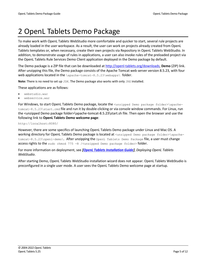# <span id="page-4-0"></span>2 OpenL Tablets Demo Package

To make work with OpenL Tablets WebStudio more comfortable and quicker to start, several rule projects are already loaded in the user workspace. As a result, the user can work on projects already created from OpenL Tablets templates or, when necessary, create their own projects via Repository in OpenL Tablets WebStudio. In addition, to demonstrate usage of rules in applications, a user can also invoke rules of the preloaded project via the OpenL Tablets Rule Services Demo Client application deployed in the Demo package by default.

The Demo package is a ZIP file that can be downloaded at [http://openl-tablets.org/downloads,](http://openl-tablets.org/downloads) **Demo** (ZIP) link. After unzipping this file, the Demo package consists of the Apache Tomcat web server version 8.5.23, with four web applications located in the \apache-tomcat-8.5.23\webapps\ folder.

Note: There is no need to set up JDK. The Demo package also works with only JRE installed.

These applications are as follows:

- webstudio.war
- webservice.war

For Windows, to start OpenL Tablets Demo package, locate the <unzipped Demo package folder>\apachetomcat-8.5.23\start.cmd file and run it by double-clicking or via console window commands. For Linux, run the <unzipped Demo package folder>\apache-tomcat-8.5.23\start.sh file. Then open the browser and use the following link to **OpenL Tablets Demo welcome page**:

#### http://localhost:8080/

However, there are some specifics of launching OpenL Tablets Demo package under Linux and Mac OS. A working directory for OpenL Tablets Demo package is located at <unzipped Demo package folder>\apachetomcat-8.5.23\openl-demo\. After unzipping the OpenL Tablets Demo Package file, a user must change access rights to the sudo chmod 775 -R /<unzipped Demo package folder> folder.

For more information on deployment, see *[\[OpenL Tablets Installation Guide\]](http://openl-tablets.sourceforge.net/docs/openl-tablets/latest/OpenL%20Tablets%20-%20Installation%20Guide.pdf)*, *Deploying OpenL Tablets WebStudio*.

After starting Demo, OpenL Tablets WebStudio installation wizard does not appear. OpenL Tablets WebStudio is preconfigured in a single user mode. A user sees the OpenL Tablets Demo welcome page at startup.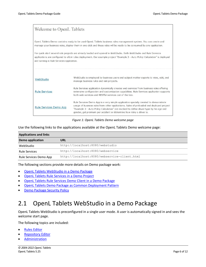| Welcome to OpenL Tablets                                                                                                                                                                                                                                                                        |                                                                                                                                                                                                                                                                                                                                                    |  |  |  |  |
|-------------------------------------------------------------------------------------------------------------------------------------------------------------------------------------------------------------------------------------------------------------------------------------------------|----------------------------------------------------------------------------------------------------------------------------------------------------------------------------------------------------------------------------------------------------------------------------------------------------------------------------------------------------|--|--|--|--|
|                                                                                                                                                                                                                                                                                                 | OpenL Tablets Demo contains ready to be used OpenL Tablets business rules management system. You can create and<br>manage your business rules, deploy them in one click and these rules will be ready to be consumed by any application.                                                                                                           |  |  |  |  |
| For quick start several rule projects are already loaded and opened in WebStudio. Both WebStudio and Rule Services<br>applications are configured to allow rules deployment. Our example project "Example 3 - Auto Policy Calculation" is deployed<br>and running in Rule Services application. |                                                                                                                                                                                                                                                                                                                                                    |  |  |  |  |
|                                                                                                                                                                                                                                                                                                 |                                                                                                                                                                                                                                                                                                                                                    |  |  |  |  |
| WebStudio                                                                                                                                                                                                                                                                                       | WebStudio is employed by business users and subject matter experts to view, edit, and<br>manage business rules and rule projects.                                                                                                                                                                                                                  |  |  |  |  |
| <b>Rule Services</b>                                                                                                                                                                                                                                                                            | Rule Services application dynamically creates web services from business rules offering<br>extensive configuration and customization capabilities. Rule Services application supports<br>both web services and RESTful services out of the box.                                                                                                    |  |  |  |  |
| Rule Services Demo App                                                                                                                                                                                                                                                                          | Rule Services Demo App is a very simple application specially created to demonstrate<br>usage of business rules from other applications. Rules of preloaded and deployed project<br>"Example 3 - Auto Policy Calculation" are invoked to define driver type by his age and<br>gender, get premium per accident or determine how risky a driver is. |  |  |  |  |

#### *Figure 1: OpenL Tablets Demo welcome page*

Use the following links to the applications available at the OpenL Tablets Demo welcome page:

| <b>Applications and links</b> |                                              |  |  |
|-------------------------------|----------------------------------------------|--|--|
| Demo application              | URL                                          |  |  |
| WebStudio                     | http://localhost:8080/webstudio              |  |  |
| <b>Rule Services</b>          | http://localhost:8080/webservice             |  |  |
| Rule Services Demo App        | http://localhost:8080/webservice-client.html |  |  |

The following sections provide more details on Demo package work:

- [OpenL Tablets WebStudio in a Demo Package](#page-5-0)
- OpenL Tablets Rule [Services in a Demo Project](#page-8-0)
- OpenL Tablets Rule [Services Demo Client in a Demo Package](#page-9-0)
- [OpenL Tablets Demo Package as Common Deployment Pattern](#page-10-0)
- <span id="page-5-0"></span>• [Demo Package Security Policy](#page-11-0)

#### 2.1 OpenL Tablets WebStudio in a Demo Package

OpenL Tablets WebStudio is preconfigured in a single user mode. A user is automatically signed in and sees the welcome start page.

The following topics are included:

- **[Rules Editor](#page-6-0)**
- **[Repository Editor](#page-6-1)**
- **[Administration](#page-7-0)**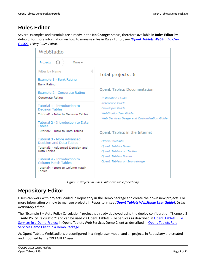#### <span id="page-6-0"></span>**Rules Editor**

Several examples and tutorials are already in the **No Changes** status, therefore available in **Rules Editor** by default. For more information on how to manage rules in Rules Editor, see *[\[OpenL Tablets WebStudio User](http://openl-tablets.sourceforge.net/docs/openl-tablets/latest/OpenL%20Tablets%20-%20WebStudio%20User%20Guide.pdf)  [Guide\]](http://openl-tablets.sourceforge.net/docs/openl-tablets/latest/OpenL%20Tablets%20-%20WebStudio%20User%20Guide.pdf)*, *Using Rules Editor.*

| WebStudio                                                                                                  |                                                                                  |  |  |  |
|------------------------------------------------------------------------------------------------------------|----------------------------------------------------------------------------------|--|--|--|
| O<br>Projects<br>More $\vee$                                                                               |                                                                                  |  |  |  |
| Filter by Name                                                                                             | Total projects: 6                                                                |  |  |  |
| Example 1 - Bank Rating<br>Bank Rating                                                                     | OpenL Tablets Documentation<br><b>Installation Guide</b>                         |  |  |  |
| Example 2 - Corporate Rating<br>Corporate Rating                                                           |                                                                                  |  |  |  |
| Tutorial 1 - Introduction to<br><b>Decision Tables</b><br>Tutorial1 - Intro to Decision Tables             | Reference Guide<br><b>Developer Guide</b><br>WebStudio User Guide                |  |  |  |
| Tutorial 2 - Introduction to Data<br><b>Tables</b><br>Tutorial2 - Intro to Data Tables                     | Web Services Usage and Customization Guide<br>OpenL Tablets in the Internet      |  |  |  |
| Tutorial 3 - More Advanced<br>Decision and Data Tables<br>Tutorial3 - Advanced Decision and<br>Data Tables | Official Website<br><b>OpenL Tablets News</b><br><b>OpenL Tablets on Twitter</b> |  |  |  |
| Tutorial 4 - Introduction to<br>Column Match Tables<br>Tutorial4 - Intro to Column Match<br><b>Tables</b>  | OpenL Tablets Forum<br>OpenL Tablets on Sourceforge                              |  |  |  |

*Figure 2: Projects in Rules Editor available for editing*

#### <span id="page-6-1"></span>**Repository Editor**

Users can work with projects loaded in Repository in the Demo package and create their own new projects. For more information on how to manage projects in Repository, see *[\[OpenL Tablets WebStudio User Guide\]](http://openl-tablets.sourceforge.net/docs/openl-tablets/latest/OpenL%20Tablets%20-%20WebStudio%20User%20Guide.pdf)*, *Using Repository Editor*.

The "Example 3 – Auto Policy Calculation" project is already deployed using the deploy configuration "Example 3 – Auto Policy Calculation" and can be used via OpenL Tablets Rule Services as described in [OpenL Tablets Rule](#page-8-0) [Services in a Demo Project](#page-8-0) in OpenL Tablets Web Services Demo Client as described in [OpenL Tablets Rule](#page-9-0) [Services Demo Client in a Demo Package.](#page-9-0)

As OpenL Tablets WebStudio is preconfigured in a single user mode, and all projects in Repository are created and modified by the "DEFAULT" user.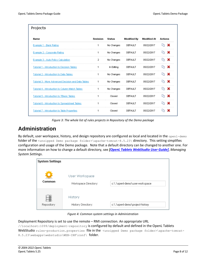| Projects                                             |                 |               |                    |                    |                |
|------------------------------------------------------|-----------------|---------------|--------------------|--------------------|----------------|
| <b>Name</b>                                          | <b>Revision</b> | <b>Status</b> | <b>Modified By</b> | <b>Modified At</b> | <b>Actions</b> |
| Example 1 - Bank Rating                              | 1.              | No Changes    | <b>DEFAULT</b>     | 05/22/2017         | - X<br>Lħ.     |
| Example 2 - Corporate Rating                         | 1               | No Changes    | DEFAULT            | 05/22/2017         | ж<br>Lħ        |
| Example 3 - Auto Policy Calculation                  | 2               | No Changes    | DEFAULT            | 05/22/2017         | ×<br>Lħ        |
| <b>Tutorial 1 - Introduction to Decision Tables</b>  | 1               | In Editing    | DEFAULT            | 05/22/2017         | ж<br>Lħ        |
| Tutorial 2 - Introduction to Data Tables             | 1.              | No Changes    | DEFAULT            | 05/22/2017         | ×<br>∟∩        |
| Tutorial 3 - More Advanced Decision and Data Tables  | 1.              | No Changes    | DEFAULT            | 05/22/2017         | ж<br>Lħ        |
| Tutorial 4 - Introduction to Column Match Tables     | 1.              | No Changes    | DEFAULT            | 05/22/2017         | ×<br>Lħ        |
| <b>Tutorial 5 - Introduction to TBasic Tables</b>    |                 | Closed        | <b>DEFAULT</b>     | 05/22/2017         | ж              |
| Tutorial 6 - Introduction to Spreadsheet Tables      |                 | Closed        | <b>DEFAULT</b>     | 05/22/2017         | ж              |
| <b>Tutorial 7 - Introduction to Table Properties</b> |                 | Closed        | <b>DEFAULT</b>     | 05/22/2017         |                |

*Figure 3: The whole list of rules projects in Repository of the Demo package*

#### <span id="page-7-0"></span>**Administration**

By default, user workspace, history, and design repository are configured as local and located in the openl-demo folder of the <unzipped Demo package folder>\apache-tomcat-8.5.23\ directory. This setting simplifies configuration and usage of the Demo package. Note that a default directory can be changed to another one. For more information on how to change a default directory, see *[\[OpenL Tablets WebStudio User Guide\]](http://openl-tablets.sourceforge.net/docs/openl-tablets/latest/OpenL%20Tablets%20-%20WebStudio%20User%20Guide.pdf)*, *Managing System Settings*.

| <b>System Settings</b> |                                        |                                 |
|------------------------|----------------------------------------|---------------------------------|
| Common                 | User Workspace<br>Workspace Directory: | c:\.\openl-demo\user-workspace  |
| Repository             | <b>History</b><br>History Directory:   | c:\.\openl-demo\project-history |

*Figure 4: Common system settings in Administration*

Deployment Repository is set to use the remote – RMI connection. An appropriate URL

//localhost:1099/deployment-repository is configured by default and defined in the OpenL Tablets

WebStudio rules-production.properties file in the <unzipped Demo package folder>\apache-tomcat-8.5.23\webapps\webstudio\WEB-INF\conf\ folder.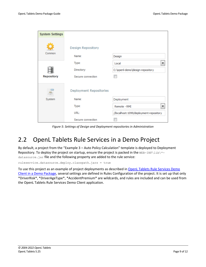| <b>System Settings</b> |                         |                                         |
|------------------------|-------------------------|-----------------------------------------|
| Common                 | Design Repository       |                                         |
|                        | Name:                   | Design                                  |
|                        | Type:                   | Local                                   |
|                        | Directory:              | C:\openl-demo\design-repository         |
| Repository             | Secure connection       |                                         |
|                        | Deployment Repositories |                                         |
| System                 | Name:                   | Deployment                              |
|                        | Type:                   | Remote - RMI                            |
|                        | URL:                    | //localhost: 1099/deployment-repository |
|                        | Secure connection       |                                         |

*Figure 5: Settings of Design and Deployment repositories in Administration*

#### <span id="page-8-0"></span>2.2 OpenL Tablets Rule Services in a Demo Project

By default, a project from the "Example 3 – Auto Policy Calculation" template is deployed to Deployment Repository. To deploy the project on startup, ensure the project is packed in the WEB-INF\lib\\*datasource.jar file and the following property are added to the rule service:

ruleservice.datasource.deploy.classpath.jars = true

To use this project as an example of project deployments as described in [OpenL Tablets Rule](#page-9-0) Services Demo [Client in a Demo Package,](#page-9-0) several settings are defined in Rules Configuration of the project. It is set up that only \*DriverRisk\*, \*DriverAgeType\*, \*AccidentPremium\* are wildcards, and rules are included and can be used from the OpenL Tablets Rule Services Demo Client application.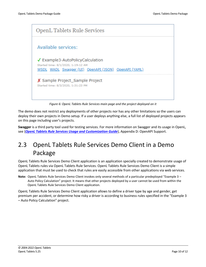

*Figure 6: OpenL Tablets Rule Services main page and the project deployed on it*

The demo does not restrict any deployments of other projects nor has any other limitations so the users can deploy their own projects in Demo setup. If a user deploys anything else, a full list of deployed projects appears on this page including user's projects.

**Swagger** is a third party tool used for testing services. For more information on Swagger and its usage in OpenL, see {*OpenL Tablets Rule Services Usage and [Customization](http://openl-tablets.org/files/openl-tablets/latest/OpenL%20Tablets%20-%20Rule%20Services%20Usage%20and%20Customization%20Guide.pdf) Guide*}, Appendix D: OpenAPI Support.

## <span id="page-9-0"></span>2.3 OpenL Tablets Rule Services Demo Client in a Demo Package

OpenL Tablets Rule Services Demo Client application is an application specially created to demonstrate usage of OpenL Tablets rules via OpenL Tablets Rule Services. OpenL Tablets Rule Services Demo Client is a simple application that must be used to check that rules are easily accessible from other applications via web services.

**Note:** OpenL Tablets Rule Services Demo Client invokes only several methods of a particular predeployed "Example 3 – Auto Policy Calculation" project. It means that other projects deployed by a user cannot be used from within the OpenL Tablets Rule Services Demo Client application.

OpenL Tablets Rule Services Demo Client application allows to define a driver type by age and gender, get premium per accident, or determine how risky a driver is according to business rules specified in the "Example 3 – Auto Policy Calculation" project.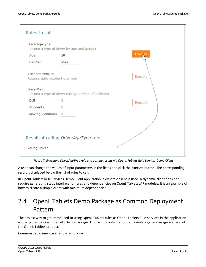| Rules to call                                                             |                                            |         |  |  |
|---------------------------------------------------------------------------|--------------------------------------------|---------|--|--|
| DriverAgeType                                                             | Returns a type of driver by age and gender |         |  |  |
| Age                                                                       | 20                                         | Execute |  |  |
| Gender                                                                    | Male                                       |         |  |  |
| AccidentPremium<br>Returns auto accident premium                          | Execute                                    |         |  |  |
| <b>DriverRisk</b><br>Returns a type of driver risk by number of incidents |                                            |         |  |  |
| DUI                                                                       | 0                                          | Execute |  |  |
| Accidents                                                                 | 0                                          |         |  |  |
| Moving Violations 0                                                       |                                            |         |  |  |
| Result of calling DriverAgeType rule<br>Young Driver                      |                                            |         |  |  |

*Figure 7: Executing DriverAgeType rule and getting results via OpenL Tablets Rule Services Demo Client*

A user can change the values of input parameters in the fields and click the **Execute** button. The corresponding result is displayed below the list of rules to call.

In OpenL Tablets Rule Services Demo Client application, a dynamic client is used. A dynamic client does not require generating static interface for rules and dependencies on OpenL Tablets JAR modules. It is an example of how to create a simple client with minimum dependencies.

#### <span id="page-10-0"></span>2.4 OpenL Tablets Demo Package as Common Deployment Pattern

The easiest way to get introduced to using OpenL Tablets rules as OpenL Tablets Rule Services in the application is to explore the OpenL Tablets Demo package. This Demo configuration represents a general usage scenario of the OpenL Tablets product.

Common deployment scenario is as follows: